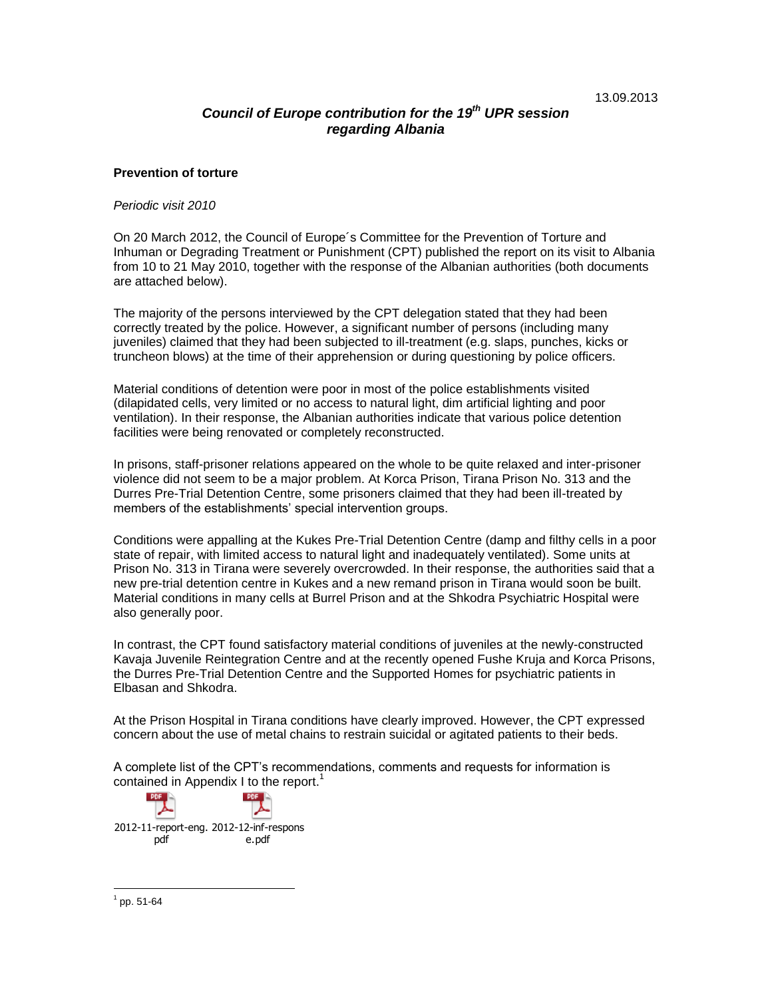# *Council of Europe contribution for the 19 th UPR session regarding Albania*

### **Prevention of torture**

#### *Periodic visit 2010*

On 20 March 2012, the Council of Europe´s Committee for the Prevention of Torture and Inhuman or Degrading Treatment or Punishment (CPT) published the report on its visit to Albania from 10 to 21 May 2010, together with the response of the Albanian authorities (both documents are attached below).

The majority of the persons interviewed by the CPT delegation stated that they had been correctly treated by the police. However, a significant number of persons (including many juveniles) claimed that they had been subjected to ill-treatment (e.g. slaps, punches, kicks or truncheon blows) at the time of their apprehension or during questioning by police officers.

Material conditions of detention were poor in most of the police establishments visited (dilapidated cells, very limited or no access to natural light, dim artificial lighting and poor ventilation). In their response, the Albanian authorities indicate that various police detention facilities were being renovated or completely reconstructed.

In prisons, staff-prisoner relations appeared on the whole to be quite relaxed and inter-prisoner violence did not seem to be a major problem. At Korca Prison, Tirana Prison No. 313 and the Durres Pre-Trial Detention Centre, some prisoners claimed that they had been ill-treated by members of the establishments' special intervention groups.

Conditions were appalling at the Kukes Pre-Trial Detention Centre (damp and filthy cells in a poor state of repair, with limited access to natural light and inadequately ventilated). Some units at Prison No. 313 in Tirana were severely overcrowded. In their response, the authorities said that a new pre-trial detention centre in Kukes and a new remand prison in Tirana would soon be built. Material conditions in many cells at Burrel Prison and at the Shkodra Psychiatric Hospital were also generally poor.

In contrast, the CPT found satisfactory material conditions of juveniles at the newly-constructed Kavaja Juvenile Reintegration Centre and at the recently opened Fushe Kruja and Korca Prisons, the Durres Pre-Trial Detention Centre and the Supported Homes for psychiatric patients in Elbasan and Shkodra.

At the Prison Hospital in Tirana conditions have clearly improved. However, the CPT expressed concern about the use of metal chains to restrain suicidal or agitated patients to their beds.

A complete list of the CPT's recommendations, comments and requests for information is contained in Appendix I to the report.<sup>1</sup>

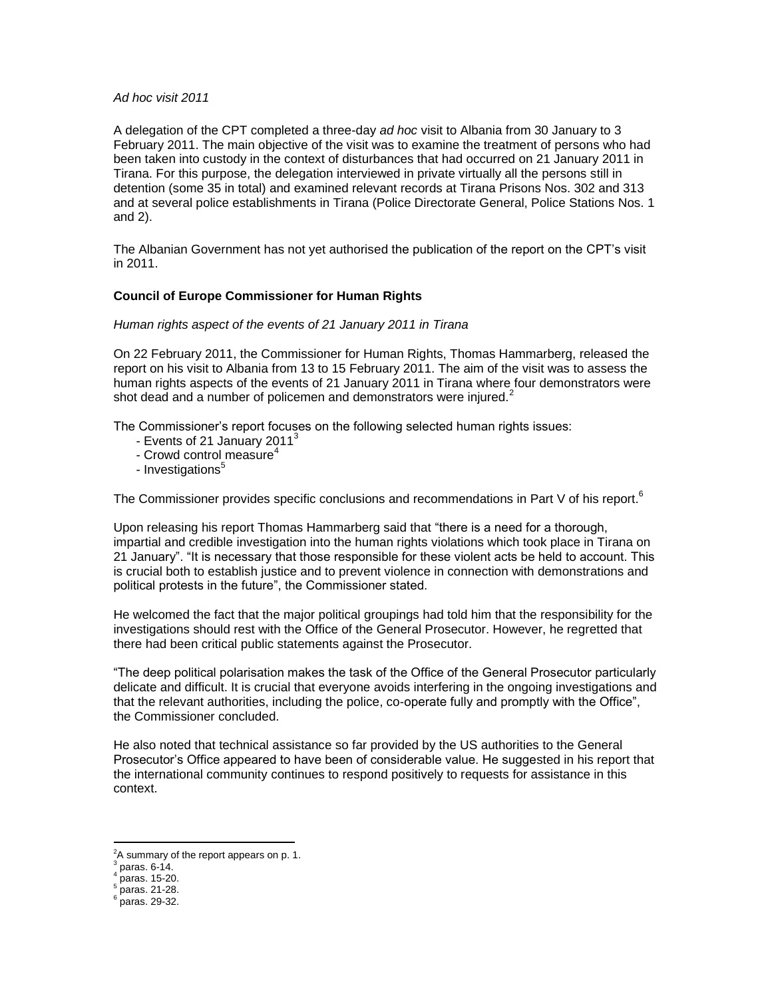#### *Ad hoc visit 2011*

A delegation of the CPT completed a three-day *ad hoc* visit to Albania from 30 January to 3 February 2011. The main objective of the visit was to examine the treatment of persons who had been taken into custody in the context of disturbances that had occurred on 21 January 2011 in Tirana. For this purpose, the delegation interviewed in private virtually all the persons still in detention (some 35 in total) and examined relevant records at Tirana Prisons Nos. 302 and 313 and at several police establishments in Tirana (Police Directorate General, Police Stations Nos. 1 and 2).

The Albanian Government has not yet authorised the publication of the report on the CPT's visit in 2011.

## **Council of Europe Commissioner for Human Rights**

### *Human rights aspect of the events of 21 January 2011 in Tirana*

On 22 February 2011, the Commissioner for Human Rights, Thomas Hammarberg, released the [report](https://wcd.coe.int/ViewDoc.jsp?id=1909623) on his visit to Albania from 13 to 15 February 2011. The aim of the visit was to assess the human rights aspects of the events of 21 January 2011 in Tirana where four demonstrators were shot dead and a number of policemen and demonstrators were injured. $2^2$ 

The Commissioner's report focuses on the following selected human rights issues:

- Events of 21 January 2011 $3$
- Crowd control measure<sup>4</sup>
- Investigations<sup>5</sup>

The Commissioner provides specific conclusions and recommendations in Part V of his report.<sup>6</sup>

Upon releasing his report Thomas Hammarberg said that "there is a need for a thorough, impartial and credible investigation into the human rights violations which took place in Tirana on 21 January". "It is necessary that those responsible for these violent acts be held to account. This is crucial both to establish justice and to prevent violence in connection with demonstrations and political protests in the future", the Commissioner stated.

He welcomed the fact that the major political groupings had told him that the responsibility for the investigations should rest with the Office of the General Prosecutor. However, he regretted that there had been critical public statements against the Prosecutor.

"The deep political polarisation makes the task of the Office of the General Prosecutor particularly delicate and difficult. It is crucial that everyone avoids interfering in the ongoing investigations and that the relevant authorities, including the police, co-operate fully and promptly with the Office", the Commissioner concluded.

He also noted that technical assistance so far provided by the US authorities to the General Prosecutor's Office appeared to have been of considerable value. He suggested in his report that the international community continues to respond positively to requests for assistance in this context.

<sup>&</sup>lt;sup>2</sup>A summary of the report appears on p. 1.<br><sup>3</sup> name for 14

paras. 6-14. 4

paras. 15-20. 5

paras. 21-28. 6

paras. 29-32.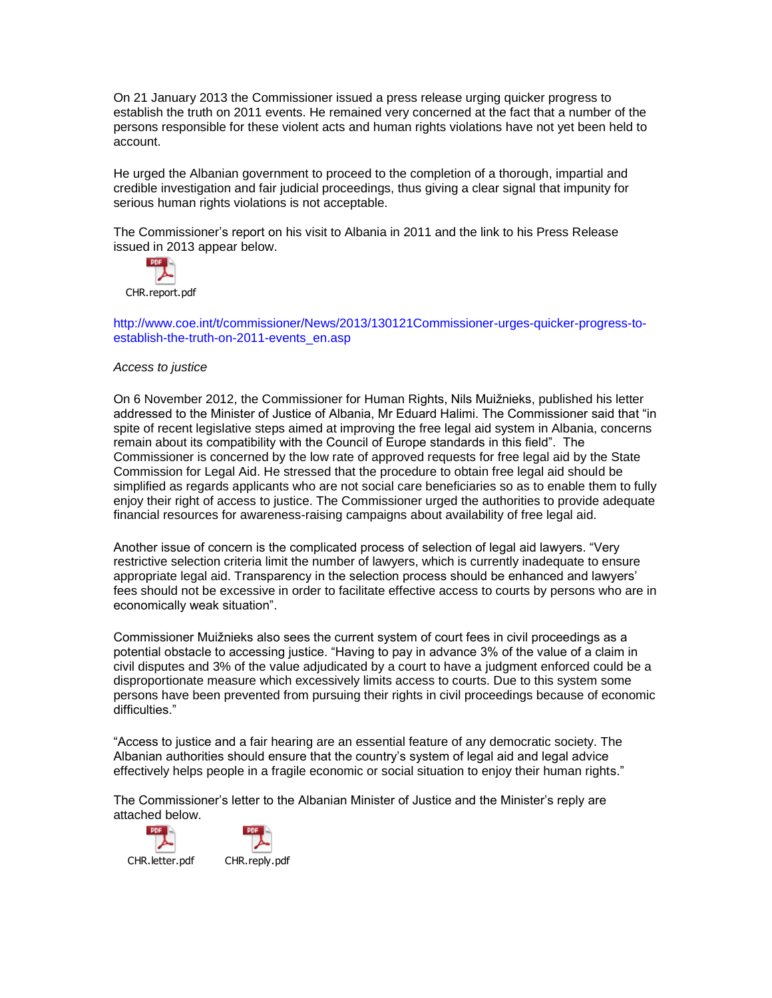On 21 January 2013 the Commissioner issued a press release urging quicker progress to establish the truth on 2011 events. He remained very concerned at the fact that a number of the persons responsible for these violent acts and human rights violations have not yet been held to account.

He urged the Albanian government to proceed to the completion of a thorough, impartial and credible investigation and fair judicial proceedings, thus giving a clear signal that impunity for serious human rights violations is not acceptable.

The Commissioner's report on his visit to Albania in 2011 and the link to his Press Release issued in 2013 appear below.



[http://www.coe.int/t/commissioner/News/2013/130121Commissioner-urges-quicker-progress-to](http://www.coe.int/t/commissioner/News/2013/130121Commissioner-urges-quicker-progress-to-establish-the-truth-on-2011-events_en.asp)[establish-the-truth-on-2011-events\\_en.asp](http://www.coe.int/t/commissioner/News/2013/130121Commissioner-urges-quicker-progress-to-establish-the-truth-on-2011-events_en.asp)

### *Access to justice*

On 6 November 2012, the Commissioner for Human Rights, Nils Muižnieks, published his letter addressed to the Minister of Justice of Albania, Mr Eduard Halimi. The Commissioner said that "in spite of recent legislative steps aimed at improving the free legal aid system in Albania, concerns remain about its compatibility with the Council of Europe standards in this field". The Commissioner is concerned by the low rate of approved requests for free legal aid by the State Commission for Legal Aid. He stressed that the procedure to obtain free legal aid should be simplified as regards applicants who are not social care beneficiaries so as to enable them to fully enjoy their right of access to justice. The Commissioner urged the authorities to provide adequate financial resources for awareness-raising campaigns about availability of free legal aid.

Another issue of concern is the complicated process of selection of legal aid lawyers. "Very restrictive selection criteria limit the number of lawyers, which is currently inadequate to ensure appropriate legal aid. Transparency in the selection process should be enhanced and lawyers' fees should not be excessive in order to facilitate effective access to courts by persons who are in economically weak situation".

Commissioner Muižnieks also sees the current system of court fees in civil proceedings as a potential obstacle to accessing justice. "Having to pay in advance 3% of the value of a claim in civil disputes and 3% of the value adjudicated by a court to have a judgment enforced could be a disproportionate measure which excessively limits access to courts. Due to this system some persons have been prevented from pursuing their rights in civil proceedings because of economic difficulties."

"Access to justice and a fair hearing are an essential feature of any democratic society. The Albanian authorities should ensure that the country's system of legal aid and legal advice effectively helps people in a fragile economic or social situation to enjoy their human rights."

The Commissioner's letter to the Albanian Minister of Justice and the Minister's reply are attached below.



CHR.letter.pdf CHR.reply.pdf

**PDF**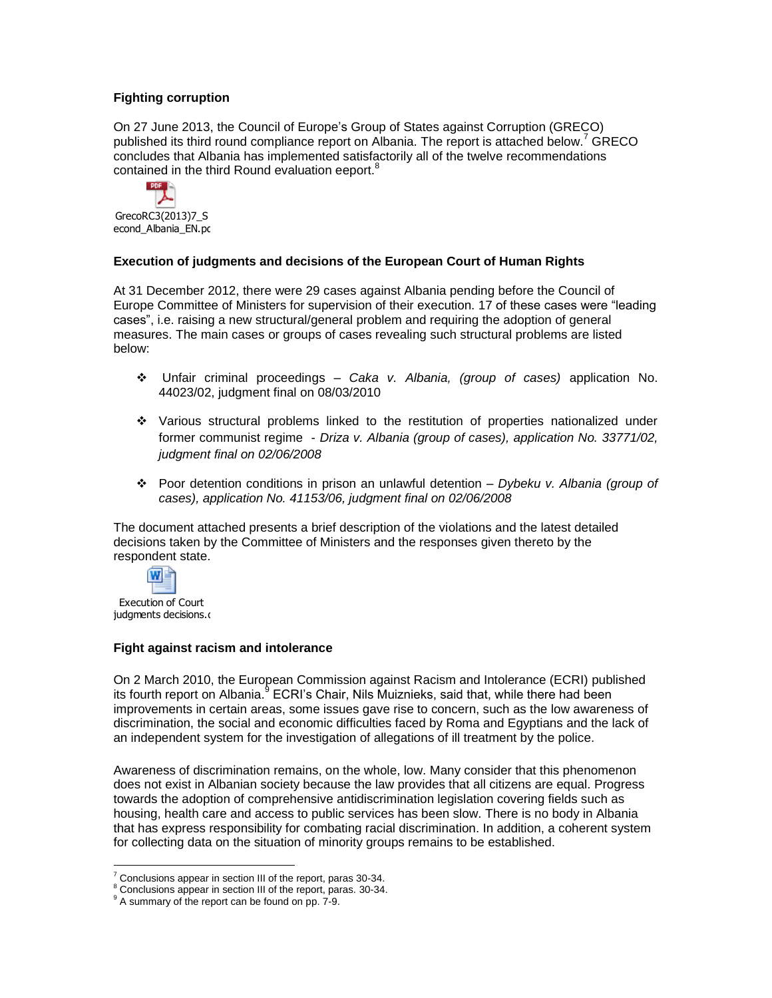# **Fighting corruption**

On 27 June 2013, the Council of Europe's Group of States against Corruption (GRECO) published its third round compliance report on Albania. The report is attached below.<sup>7</sup> GRECO concludes that Albania has implemented satisfactorily all of the twelve recommendations contained in the third Round evaluation eeport.<sup>8</sup>



GrecoRC3(2013)7\_S econd\_Albania\_EN.pd

# **Execution of judgments and decisions of the European Court of Human Rights**

At 31 December 2012, there were 29 cases against Albania pending before the Council of Europe Committee of Ministers for supervision of their execution. 17 of these cases were "leading cases", i.e. raising a new structural/general problem and requiring the adoption of general measures. The main cases or groups of cases revealing such structural problems are listed below:

- Unfair criminal proceedings *Caka v. Albania, (group of cases)* application No. 44023/02, judgment final on 08/03/2010
- Various structural problems linked to the restitution of properties nationalized under former communist regime - *Driza v. Albania (group of cases), application No. 33771/02, judgment final on 02/06/2008*
- Poor detention conditions in prison an unlawful detention *Dybeku v. Albania (group of cases), application No. 41153/06, judgment final on 02/06/2008*

The document attached presents a brief description of the violations and the latest detailed decisions taken by the Committee of Ministers and the responses given thereto by the respondent state.



judgments decisions.d

# **Fight against racism and intolerance**

On 2 March 2010, the European Commission against Racism and Intolerance (ECRI) published its fourth report on Albania.<sup>9</sup> ECRI's Chair, Nils Muiznieks, said that, while there had been improvements in certain areas, some issues gave rise to concern, such as the low awareness of discrimination, the social and economic difficulties faced by Roma and Egyptians and the lack of an independent system for the investigation of allegations of ill treatment by the police.

Awareness of discrimination remains, on the whole, low. Many consider that this phenomenon does not exist in Albanian society because the law provides that all citizens are equal. Progress towards the adoption of comprehensive antidiscrimination legislation covering fields such as housing, health care and access to public services has been slow. There is no body in Albania that has express responsibility for combating racial discrimination. In addition, a coherent system for collecting data on the situation of minority groups remains to be established.

 $\overline{a}$  $7$  Conclusions appear in section III of the report, paras 30-34.

<sup>&</sup>lt;sup>8</sup> Conclusions appear in section III of the report, paras. 30-34.

<sup>&</sup>lt;sup>9</sup> A summary of the report can be found on pp. 7-9.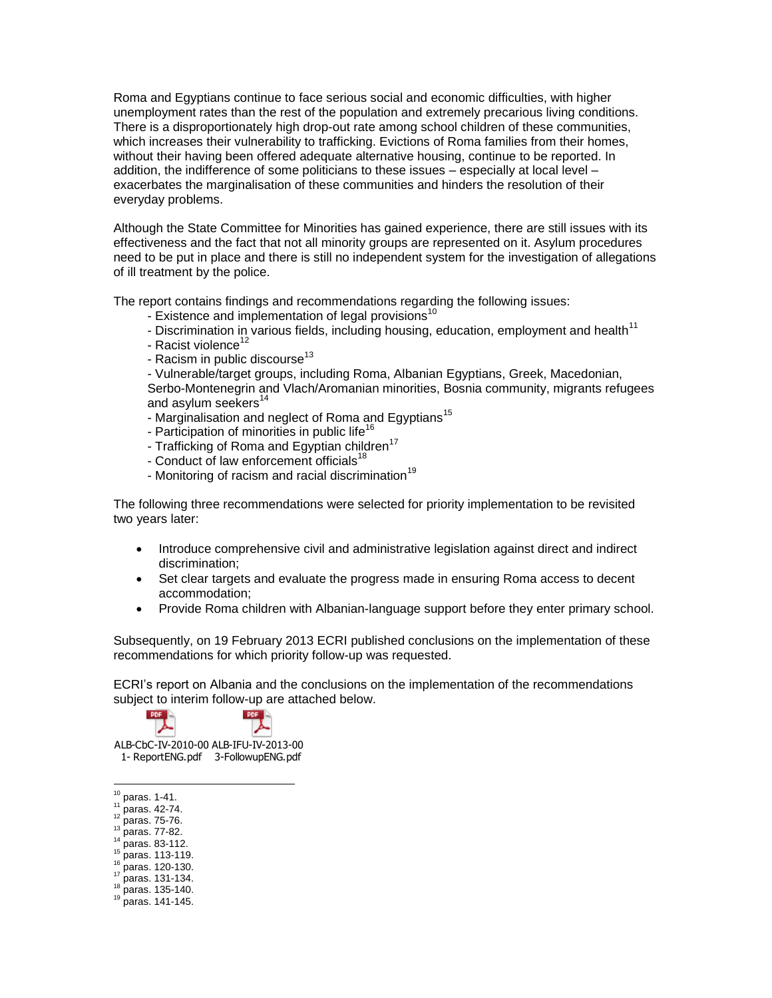Roma and Egyptians continue to face serious social and economic difficulties, with higher unemployment rates than the rest of the population and extremely precarious living conditions. There is a disproportionately high drop-out rate among school children of these communities, which increases their vulnerability to trafficking. Evictions of Roma families from their homes, without their having been offered adequate alternative housing, continue to be reported. In addition, the indifference of some politicians to these issues – especially at local level – exacerbates the marginalisation of these communities and hinders the resolution of their everyday problems.

Although the State Committee for Minorities has gained experience, there are still issues with its effectiveness and the fact that not all minority groups are represented on it. Asylum procedures need to be put in place and there is still no independent system for the investigation of allegations of ill treatment by the police.

The report contains findings and recommendations regarding the following issues:

- Existence and implementation of legal provisions<sup>10</sup>
- Discrimination in various fields, including housing, education, employment and health<sup>11</sup>
- Racist violence<sup>12</sup>
- Racism in public discourse $^{13}$
- Vulnerable/target groups, including Roma, Albanian Egyptians, Greek, Macedonian,

Serbo-Montenegrin and Vlach/Aromanian minorities, Bosnia community, migrants refugees and asylum seekers<sup>14</sup>

- Marginalisation and neglect of Roma and Egyptians<sup>15</sup>
- Participation of minorities in public life<sup>16</sup>
- Trafficking of Roma and Egyptian children<sup>17</sup>
- Conduct of law enforcement officials<sup>18</sup>
- Monitoring of racism and racial discrimination<sup>19</sup>

The following three recommendations were selected for priority implementation to be revisited two years later:

- Introduce comprehensive civil and administrative legislation against direct and indirect discrimination;
- Set clear targets and evaluate the progress made in ensuring Roma access to decent accommodation;
- Provide Roma children with Albanian-language support before they enter primary school.

Subsequently, on 19 February 2013 ECRI published conclusions on the implementation of these recommendations for which priority follow-up was requested.

ECRI's report on Albania and the conclusions on the implementation of the recommendations subject to interim follow-up are attached below.



ALB-CbC-IV-2010-00 ALB-IFU-IV-2013-00 1- ReportENG.pdf 3-FollowupENG.pdf

 $10$  paras. 1-41.

PDF

- $^{11}$  paras. 42-74.  $12$  paras. 75-76.
- $13$  paras. 77-82.
- <sup>14</sup> paras. 83-112.
- $15$  paras. 113-119.
- $16$  paras. 120-130.
- <sup>17</sup> paras. 131-134.
- <sup>18</sup> paras. 135-140.
- <sup>19</sup> paras. 141-145.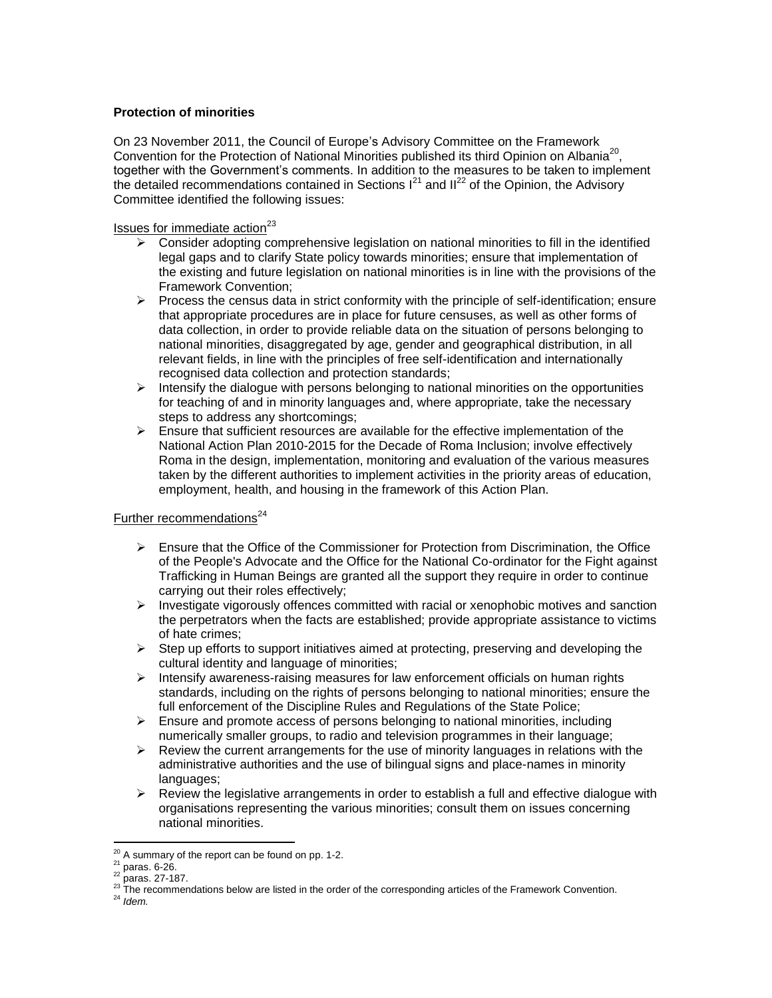# **Protection of minorities**

On 23 November 2011, the Council of Europe's Advisory Committee on the Framework Convention for the Protection of National Minorities published its third Opinion [on A](http://www.coe.int/t/dghl/monitoring/minorities/3_FCNMdocs/PDF_3rd_OP_CzechRepublic_en.pdf)lbania<sup>20</sup>, together with the Government's comments. In addition to the measures to be taken to implement the detailed recommendations contained in Sections  $I^{21}$  and  $II^{22}$  of the Opinion, the Advisory Committee identified the following issues:

# Issues for immediate action $^{23}$

- $\triangleright$  Consider adopting comprehensive legislation on national minorities to fill in the identified legal gaps and to clarify State policy towards minorities; ensure that implementation of the existing and future legislation on national minorities is in line with the provisions of the Framework Convention;
- $\triangleright$  Process the census data in strict conformity with the principle of self-identification; ensure that appropriate procedures are in place for future censuses, as well as other forms of data collection, in order to provide reliable data on the situation of persons belonging to national minorities, disaggregated by age, gender and geographical distribution, in all relevant fields, in line with the principles of free self-identification and internationally recognised data collection and protection standards;
- $\triangleright$  Intensify the dialogue with persons belonging to national minorities on the opportunities for teaching of and in minority languages and, where appropriate, take the necessary steps to address any shortcomings;
- $\triangleright$  Ensure that sufficient resources are available for the effective implementation of the National Action Plan 2010-2015 for the Decade of Roma Inclusion; involve effectively Roma in the design, implementation, monitoring and evaluation of the various measures taken by the different authorities to implement activities in the priority areas of education, employment, health, and housing in the framework of this Action Plan.

# Further recommendations $^{24}$

- $\triangleright$  Ensure that the Office of the Commissioner for Protection from Discrimination, the Office of the People's Advocate and the Office for the National Co-ordinator for the Fight against Trafficking in Human Beings are granted all the support they require in order to continue carrying out their roles effectively;
- $\triangleright$  Investigate vigorously offences committed with racial or xenophobic motives and sanction the perpetrators when the facts are established; provide appropriate assistance to victims of hate crimes;
- $\triangleright$  Step up efforts to support initiatives aimed at protecting, preserving and developing the cultural identity and language of minorities;
- $\triangleright$  Intensify awareness-raising measures for law enforcement officials on human rights standards, including on the rights of persons belonging to national minorities; ensure the full enforcement of the Discipline Rules and Regulations of the State Police;
- $\triangleright$  Ensure and promote access of persons belonging to national minorities, including numerically smaller groups, to radio and television programmes in their language;
- $\triangleright$  Review the current arrangements for the use of minority languages in relations with the administrative authorities and the use of bilingual signs and place-names in minority languages:
- $\triangleright$  Review the legislative arrangements in order to establish a full and effective dialogue with organisations representing the various minorities; consult them on issues concerning national minorities.

 $^{20}$  A summary of the report can be found on pp. 1-2.

 $^{21}$  paras. 6-26.

<sup>22</sup> paras. 27-187.

<sup>&</sup>lt;sup>23</sup> The recommendations below are listed in the order of the corresponding articles of the Framework Convention.

<sup>24</sup> *Idem.*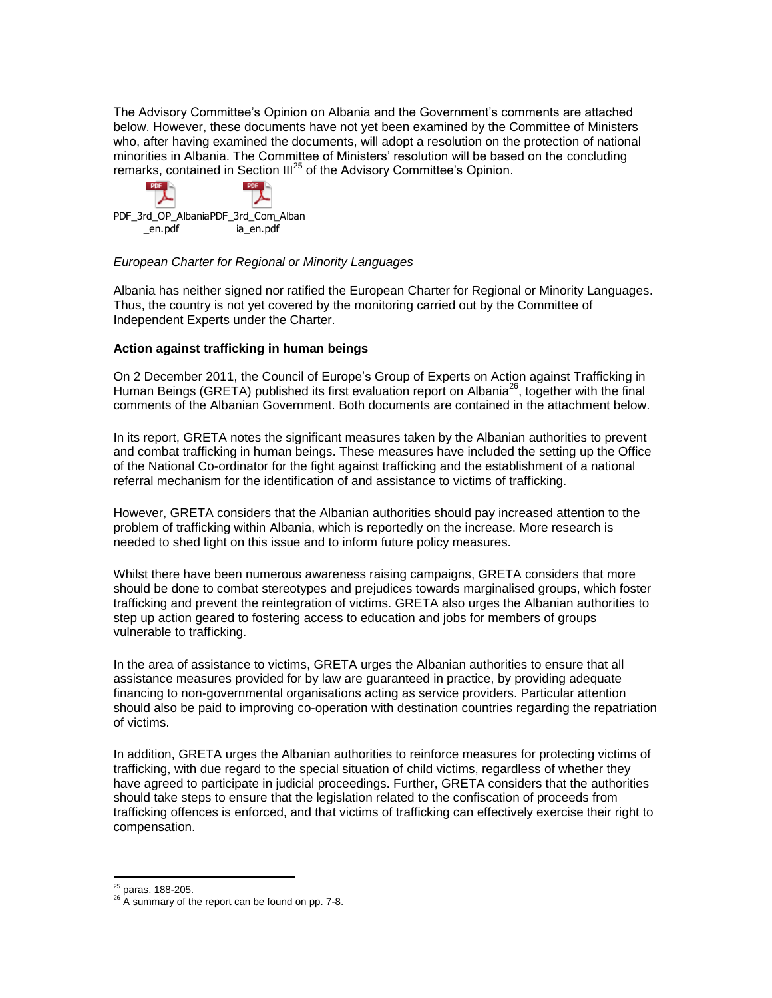The Advisory Committee's Opinion [on A](http://www.coe.int/t/dghl/monitoring/minorities/3_FCNMdocs/PDF_3rd_OP_CzechRepublic_en.pdf)lbania and the Government's comments are attached below. However, these documents have not yet been examined by the Committee of Ministers who, after having examined the documents, will adopt a resolution on the protection of national minorities in Albania. The Committee of Ministers' resolution will be based on the concluding remarks, contained in Section  $III^{25}$  of the Advisory Committee's Opinion.



## *European Charter for Regional or Minority Languages*

Albania has neither signed nor ratified the European Charter for Regional or Minority Languages. Thus, the country is not yet covered by the monitoring carried out by the Committee of Independent Experts under the Charter.

# **Action against trafficking in human beings**

On 2 December 2011, the Council of Europe's Group of Experts on Action against Trafficking in Human Beings (GRETA) published its first evaluation report on Albania<sup>26</sup>, together with the final comments of the Albanian Government. Both documents are contained in the attachment below.

In its report, GRETA notes the significant measures taken by the Albanian authorities to prevent and combat trafficking in human beings. These measures have included the setting up the Office of the National Co-ordinator for the fight against trafficking and the establishment of a national referral mechanism for the identification of and assistance to victims of trafficking.

However, GRETA considers that the Albanian authorities should pay increased attention to the problem of trafficking within Albania, which is reportedly on the increase. More research is needed to shed light on this issue and to inform future policy measures.

Whilst there have been numerous awareness raising campaigns, GRETA considers that more should be done to combat stereotypes and prejudices towards marginalised groups, which foster trafficking and prevent the reintegration of victims. GRETA also urges the Albanian authorities to step up action geared to fostering access to education and jobs for members of groups vulnerable to trafficking.

In the area of assistance to victims, GRETA urges the Albanian authorities to ensure that all assistance measures provided for by law are guaranteed in practice, by providing adequate financing to non-governmental organisations acting as service providers. Particular attention should also be paid to improving co-operation with destination countries regarding the repatriation of victims.

In addition, GRETA urges the Albanian authorities to reinforce measures for protecting victims of trafficking, with due regard to the special situation of child victims, regardless of whether they have agreed to participate in judicial proceedings. Further, GRETA considers that the authorities should take steps to ensure that the legislation related to the confiscation of proceeds from trafficking offences is enforced, and that victims of trafficking can effectively exercise their right to compensation.

 $\overline{a}$ <sup>25</sup> paras. 188-205.

 $26$  A summary of the report can be found on pp. 7-8.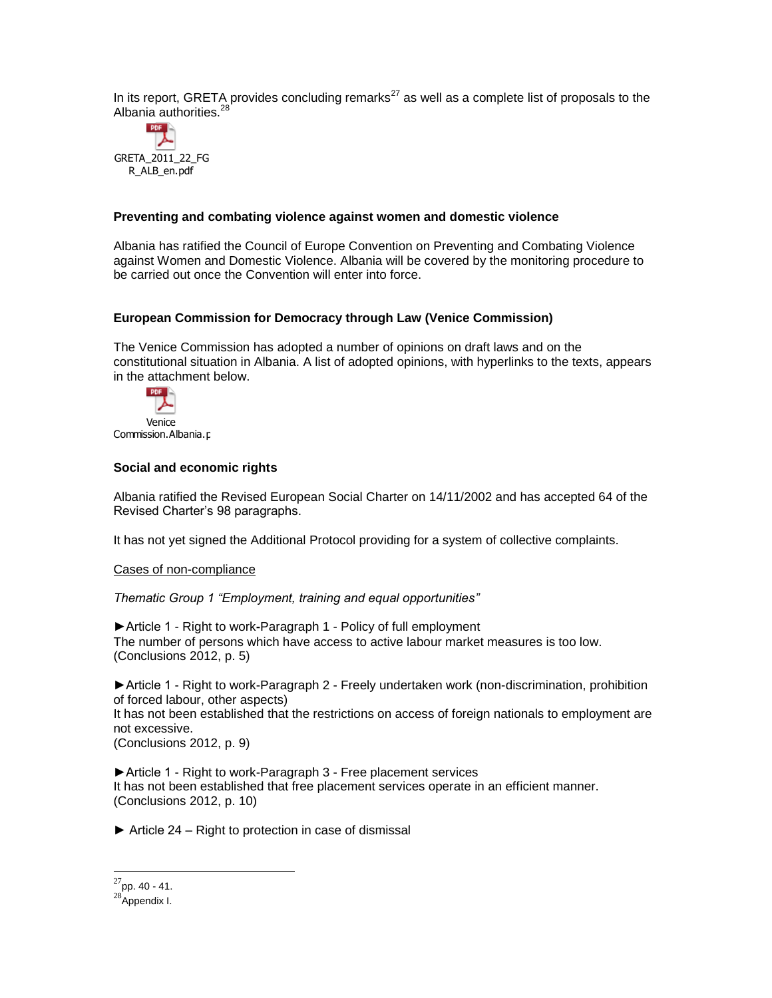In its report, GRETA provides concluding remarks<sup>27</sup> as well as a complete list of proposals to the Albania authorities.<sup>28</sup>



## **Preventing and combating violence against women and domestic violence**

Albania has ratified the Council of Europe Convention on Preventing and Combating Violence against Women and Domestic Violence. Albania will be covered by the monitoring procedure to be carried out once the Convention will enter into force.

## **European Commission for Democracy through Law (Venice Commission)**

The Venice Commission has adopted a number of opinions on draft laws and on the constitutional situation in Albania. A list of adopted opinions, with hyperlinks to the texts, appears in the attachment below.



## **Social and economic rights**

Albania ratified the Revised European Social Charter on 14/11/2002 and has accepted 64 of the Revised Charter's 98 paragraphs.

It has not yet signed the Additional Protocol providing for a system of collective complaints.

#### Cases of non-compliance

*Thematic Group 1 "Employment, training and equal opportunities"* 

►Article 1 - Right to work**-**Paragraph 1 - Policy of full employment The number of persons which have access to active labour market measures is too low. (Conclusions 2012, p. 5)

►Article 1 - Right to work-Paragraph 2 - Freely undertaken work (non-discrimination, prohibition of forced labour, other aspects)

It has not been established that the restrictions on access of foreign nationals to employment are not excessive.

(Conclusions 2012, p. 9)

►Article 1 - Right to work-Paragraph 3 - Free placement services It has not been established that free placement services operate in an efficient manner. (Conclusions 2012, p. 10)

 $\triangleright$  Article 24 – Right to protection in case of dismissal

 $^{27}$ pp. 40 - 41.

<sup>&</sup>lt;sup>28</sup>Appendix I.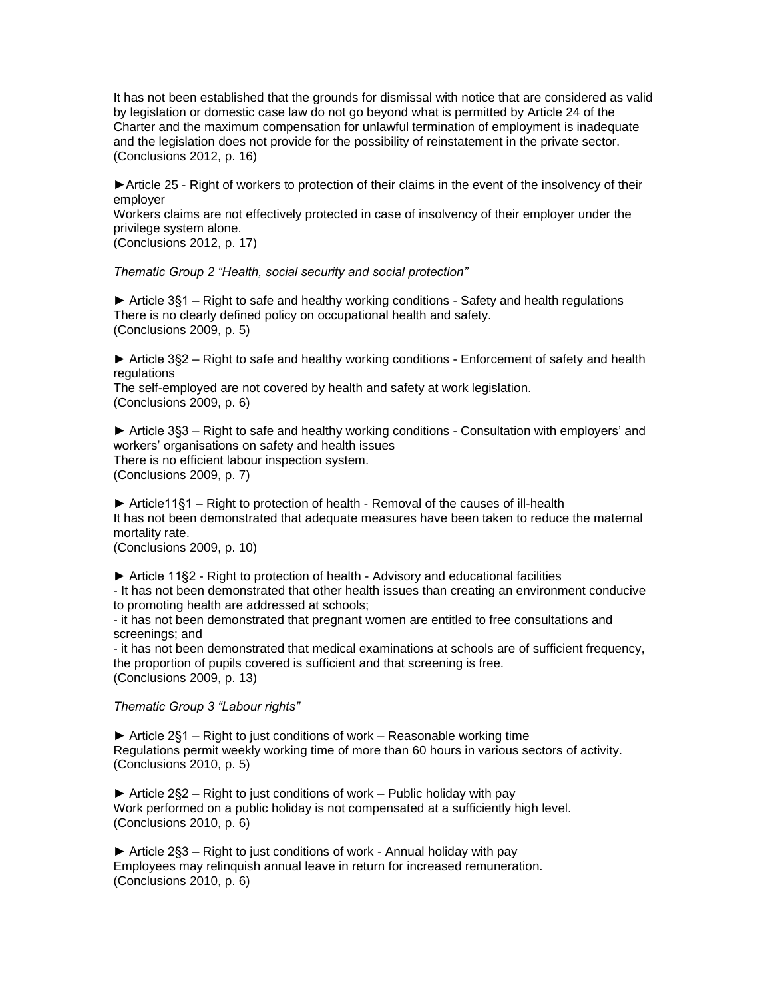It has not been established that the grounds for dismissal with notice that are considered as valid by legislation or domestic case law do not go beyond what is permitted by Article 24 of the Charter and the maximum compensation for unlawful termination of employment is inadequate and the legislation does not provide for the possibility of reinstatement in the private sector. (Conclusions 2012, p. 16)

► Article 25 - Right of workers to protection of their claims in the event of the insolvency of their employer

Workers claims are not effectively protected in case of insolvency of their employer under the privilege system alone.

(Conclusions 2012, p. 17)

*Thematic Group 2 "Health, social security and social protection"* 

► Article 3§1 – Right to safe and healthy working conditions - Safety and health regulations There is no clearly defined policy on occupational health and safety. (Conclusions 2009, p. 5)

► Article 3§2 – Right to safe and healthy working conditions - Enforcement of safety and health regulations

The self-employed are not covered by health and safety at work legislation. (Conclusions 2009, p. 6)

► Article 3§3 – Right to safe and healthy working conditions - Consultation with employers' and workers' organisations on safety and health issues There is no efficient labour inspection system. (Conclusions 2009, p. 7)

► Article11§1 – Right to protection of health - Removal of the causes of ill-health It has not been demonstrated that adequate measures have been taken to reduce the maternal mortality rate.

(Conclusions 2009, p. 10)

► Article 11§2 - Right to protection of health - Advisory and educational facilities

- It has not been demonstrated that other health issues than creating an environment conducive to promoting health are addressed at schools;

- it has not been demonstrated that pregnant women are entitled to free consultations and screenings; and

- it has not been demonstrated that medical examinations at schools are of sufficient frequency, the proportion of pupils covered is sufficient and that screening is free. (Conclusions 2009, p. 13)

*Thematic Group 3 "Labour rights"* 

► Article 2§1 – Right to just conditions of work – Reasonable working time Regulations permit weekly working time of more than 60 hours in various sectors of activity. (Conclusions 2010, p. 5)

 $\triangleright$  Article 2§2 – Right to just conditions of work – Public holiday with pay Work performed on a public holiday is not compensated at a sufficiently high level. (Conclusions 2010, p. 6)

► Article 2§3 – Right to just conditions of work - Annual holiday with pay Employees may relinquish annual leave in return for increased remuneration. (Conclusions 2010, p. 6)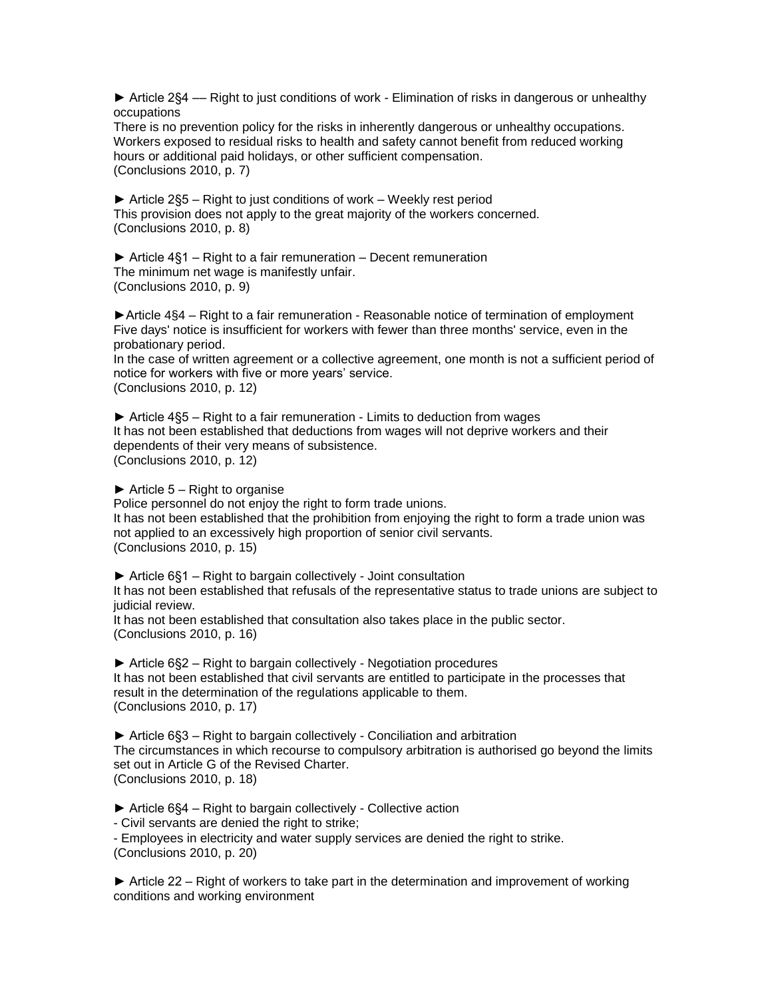► Article 2§4 –– Right to just conditions of work - Elimination of risks in dangerous or unhealthy occupations

There is no prevention policy for the risks in inherently dangerous or unhealthy occupations. Workers exposed to residual risks to health and safety cannot benefit from reduced working hours or additional paid holidays, or other sufficient compensation. (Conclusions 2010, p. 7)

► Article 2§5 – Right to just conditions of work – Weekly rest period This provision does not apply to the great majority of the workers concerned. (Conclusions 2010, p. 8)

 $\triangleright$  Article 4§1 – Right to a fair remuneration – Decent remuneration The minimum net wage is manifestly unfair. (Conclusions 2010, p. 9)

►Article 4§4 – Right to a fair remuneration - Reasonable notice of termination of employment Five days' notice is insufficient for workers with fewer than three months' service, even in the probationary period.

In the case of written agreement or a collective agreement, one month is not a sufficient period of notice for workers with five or more years' service. (Conclusions 2010, p. 12)

► Article 4§5 – Right to a fair remuneration - Limits to deduction from wages It has not been established that deductions from wages will not deprive workers and their dependents of their very means of subsistence. (Conclusions 2010, p. 12)

 $\triangleright$  Article 5 – Right to organise

Police personnel do not enjoy the right to form trade unions. It has not been established that the prohibition from enjoying the right to form a trade union was not applied to an excessively high proportion of senior civil servants. (Conclusions 2010, p. 15)

► Article 6§1 – Right to bargain collectively - Joint consultation

It has not been established that refusals of the representative status to trade unions are subject to judicial review.

It has not been established that consultation also takes place in the public sector. (Conclusions 2010, p. 16)

► Article 6§2 – Right to bargain collectively - Negotiation procedures It has not been established that civil servants are entitled to participate in the processes that result in the determination of the regulations applicable to them. (Conclusions 2010, p. 17)

► Article 6§3 – Right to bargain collectively - Conciliation and arbitration The circumstances in which recourse to compulsory arbitration is authorised go beyond the limits set out in Article G of the Revised Charter. (Conclusions 2010, p. 18)

► Article 6§4 – Right to bargain collectively - Collective action

- Civil servants are denied the right to strike;

- Employees in electricity and water supply services are denied the right to strike. (Conclusions 2010, p. 20)

► Article 22 – Right of workers to take part in the determination and improvement of working conditions and working environment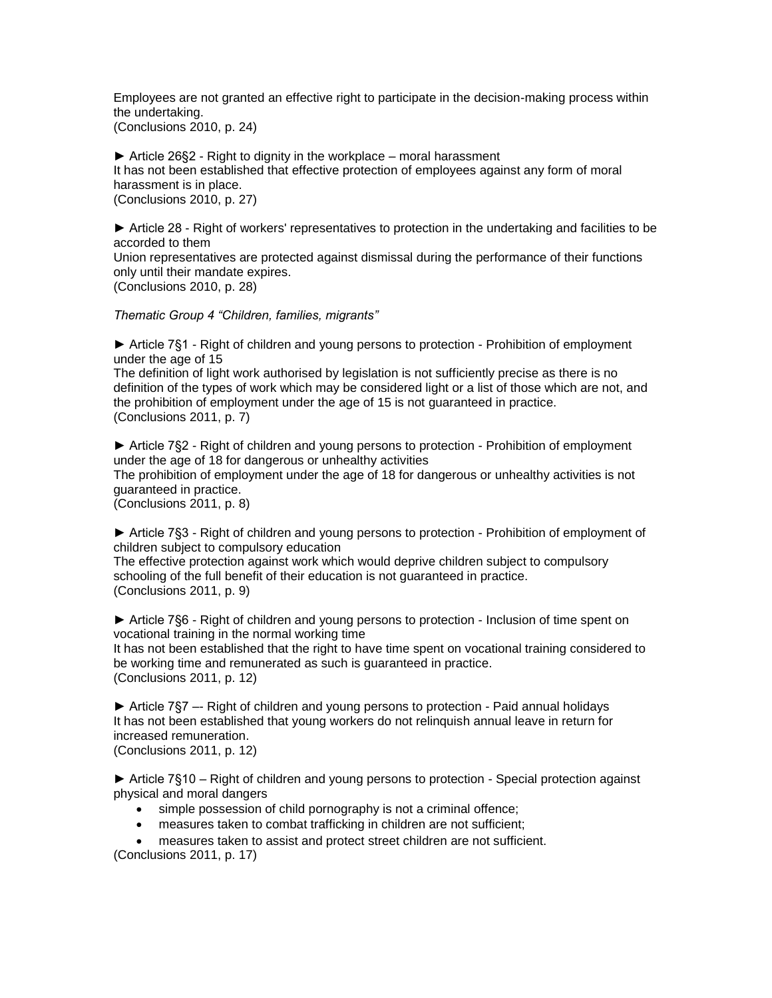Employees are not granted an effective right to participate in the decision-making process within the undertaking. (Conclusions 2010, p. 24)

 $\triangleright$  Article 26§2 - Right to dignity in the workplace – moral harassment It has not been established that effective protection of employees against any form of moral harassment is in place. (Conclusions 2010, p. 27)

► Article 28 - Right of workers' representatives to protection in the undertaking and facilities to be accorded to them Union representatives are protected against dismissal during the performance of their functions only until their mandate expires.

(Conclusions 2010, p. 28)

*Thematic Group 4 "Children, families, migrants"* 

► Article 7§1 - Right of children and young persons to protection - Prohibition of employment under the age of 15

The definition of light work authorised by legislation is not sufficiently precise as there is no definition of the types of work which may be considered light or a list of those which are not, and the prohibition of employment under the age of 15 is not guaranteed in practice. (Conclusions 2011, p. 7)

► Article 7§2 - Right of children and young persons to protection - Prohibition of employment under the age of 18 for dangerous or unhealthy activities The prohibition of employment under the age of 18 for dangerous or unhealthy activities is not guaranteed in practice.

(Conclusions 2011, p. 8)

► Article 7§3 - Right of children and young persons to protection - Prohibition of employment of children subject to compulsory education

The effective protection against work which would deprive children subject to compulsory schooling of the full benefit of their education is not guaranteed in practice. (Conclusions 2011, p. 9)

► Article 7§6 - Right of children and young persons to protection - Inclusion of time spent on vocational training in the normal working time It has not been established that the right to have time spent on vocational training considered to be working time and remunerated as such is guaranteed in practice.

(Conclusions 2011, p. 12)

► Article 7§7 –- Right of children and young persons to protection - Paid annual holidays It has not been established that young workers do not relinquish annual leave in return for increased remuneration. (Conclusions 2011, p. 12)

► Article 7§10 – Right of children and young persons to protection - Special protection against physical and moral dangers

- simple possession of child pornography is not a criminal offence;
- measures taken to combat trafficking in children are not sufficient;

 measures taken to assist and protect street children are not sufficient. (Conclusions 2011, p. 17)